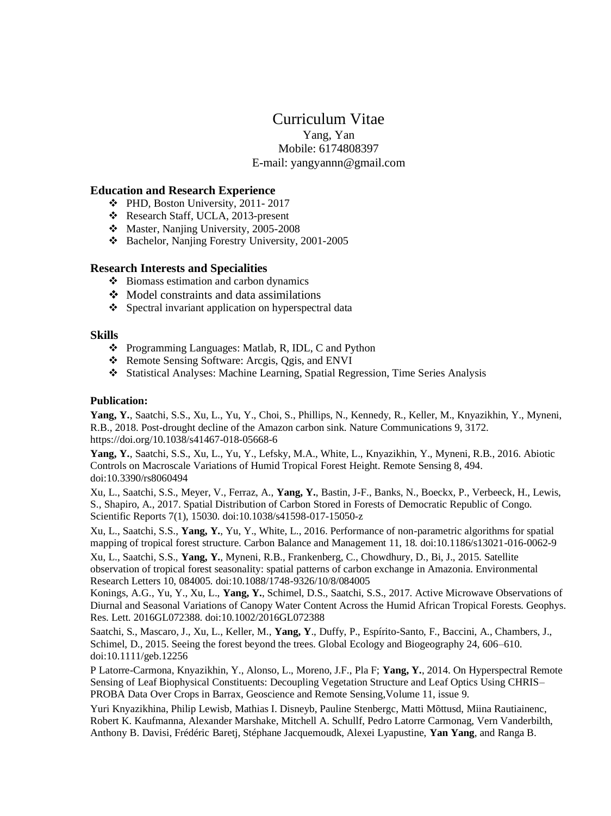# Curriculum Vitae

Yang, Yan Mobile: 6174808397 E-mail: yangyannn@gmail.com

## **Education and Research Experience**

- ❖ PHD, Boston University, 2011- 2017
- ❖ Research Staff, UCLA, 2013-present
- ❖ Master, Nanjing University, 2005-2008
- ❖ Bachelor, Nanjing Forestry University, 2001-2005

## **Research Interests and Specialities**

- ❖ Biomass estimation and carbon dynamics
- ❖ Model constraints and data assimilations
- ❖ Spectral invariant application on hyperspectral data

## **Skills**

- ❖ Programming Languages: Matlab, R, IDL, C and Python
- ❖ Remote Sensing Software: Arcgis, Qgis, and ENVI
- ❖ Statistical Analyses: Machine Learning, Spatial Regression, Time Series Analysis

## **Publication:**

**Yang, Y.**, Saatchi, S.S., Xu, L., Yu, Y., Choi, S., Phillips, N., Kennedy, R., Keller, M., Knyazikhin, Y., Myneni, R.B., 2018. Post-drought decline of the Amazon carbon sink. Nature Communications 9, 3172. https://doi.org/10.1038/s41467-018-05668-6

**Yang, Y.**, Saatchi, S.S., Xu, L., Yu, Y., Lefsky, M.A., White, L., Knyazikhin, Y., Myneni, R.B., 2016. Abiotic Controls on Macroscale Variations of Humid Tropical Forest Height. Remote Sensing 8, 494. doi:10.3390/rs8060494

Xu, L., Saatchi, S.S., Meyer, V., Ferraz, A., **Yang, Y.**, Bastin, J-F., Banks, N., Boeckx, P., Verbeeck, H., Lewis, S., Shapiro, A., 2017. Spatial Distribution of Carbon Stored in Forests of Democratic Republic of Congo. Scientific Reports 7(1), 15030. doi:10.1038/s41598-017-15050-z

Xu, L., Saatchi, S.S., **Yang, Y.**, Yu, Y., White, L., 2016. Performance of non-parametric algorithms for spatial mapping of tropical forest structure. Carbon Balance and Management 11, 18. doi:10.1186/s13021-016-0062-9

Xu, L., Saatchi, S.S., **Yang, Y.**, Myneni, R.B., Frankenberg, C., Chowdhury, D., Bi, J., 2015. Satellite observation of tropical forest seasonality: spatial patterns of carbon exchange in Amazonia. Environmental Research Letters 10, 084005. doi:10.1088/1748-9326/10/8/084005

Konings, A.G., Yu, Y., Xu, L., **Yang, Y.**, Schimel, D.S., Saatchi, S.S., 2017. Active Microwave Observations of Diurnal and Seasonal Variations of Canopy Water Content Across the Humid African Tropical Forests. Geophys. Res. Lett. 2016GL072388. doi:10.1002/2016GL072388

Saatchi, S., Mascaro, J., Xu, L., Keller, M., **Yang, Y**., Duffy, P., Espírito-Santo, F., Baccini, A., Chambers, J., Schimel, D., 2015. Seeing the forest beyond the trees. Global Ecology and Biogeography 24, 606–610. doi:10.1111/geb.12256

P Latorre-Carmona, Knyazikhin, Y., Alonso, L., Moreno, J.F., Pla F; **Yang, Y.**, 2014. On Hyperspectral Remote Sensing of Leaf Biophysical Constituents: Decoupling Vegetation Structure and Leaf Optics Using CHRIS– PROBA Data Over Crops in Barrax, Geoscience and Remote Sensing,Volume 11, issue 9.

Yuri Knyazikhina, Philip Lewisb, Mathias I. Disneyb, Pauline Stenbergc, Matti Mõttusd, Miina Rautiainenc, Robert K. Kaufmanna, Alexander Marshake, Mitchell A. Schullf, Pedro Latorre Carmonag, Vern Vanderbilth, Anthony B. Davisi, Frédéric Baretj, Stéphane Jacquemoudk, Alexei Lyapustine, **Yan Yang**, and Ranga B.